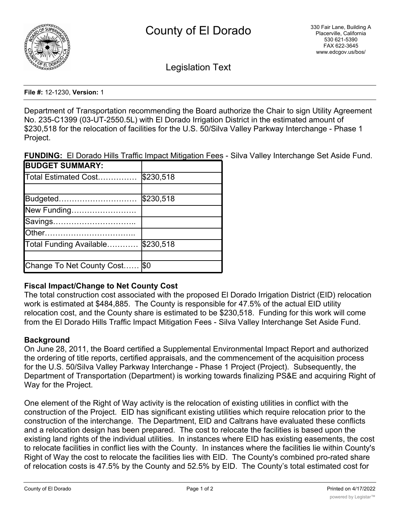

Legislation Text

**File #:** 12-1230, **Version:** 1

Department of Transportation recommending the Board authorize the Chair to sign Utility Agreement No. 235-C1399 (03-UT-2550.5L) with El Dorado Irrigation District in the estimated amount of \$230,518 for the relocation of facilities for the U.S. 50/Silva Valley Parkway Interchange - Phase 1 Project.

**FUNDING:** El Dorado Hills Traffic Impact Mitigation Fees - Silva Valley Interchange Set Aside Fund.

| <b>BUDGET SUMMARY:</b>    |           |
|---------------------------|-----------|
| Total Estimated Cost      | \$230,518 |
|                           |           |
| Budgeted                  | \$230,518 |
| New Funding               |           |
| Savings                   |           |
| Other……………………………          |           |
| Total Funding Available   | \$230,518 |
|                           |           |
| Change To Net County Cost | $ \$0$    |

# **Fiscal Impact/Change to Net County Cost**

The total construction cost associated with the proposed El Dorado Irrigation District (EID) relocation work is estimated at \$484,885. The County is responsible for 47.5% of the actual EID utility relocation cost, and the County share is estimated to be \$230,518. Funding for this work will come from the El Dorado Hills Traffic Impact Mitigation Fees - Silva Valley Interchange Set Aside Fund.

# **Background**

On June 28, 2011, the Board certified a Supplemental Environmental Impact Report and authorized the ordering of title reports, certified appraisals, and the commencement of the acquisition process for the U.S. 50/Silva Valley Parkway Interchange - Phase 1 Project (Project). Subsequently, the Department of Transportation (Department) is working towards finalizing PS&E and acquiring Right of Way for the Project.

One element of the Right of Way activity is the relocation of existing utilities in conflict with the construction of the Project. EID has significant existing utilities which require relocation prior to the construction of the interchange. The Department, EID and Caltrans have evaluated these conflicts and a relocation design has been prepared. The cost to relocate the facilities is based upon the existing land rights of the individual utilities. In instances where EID has existing easements, the cost to relocate facilities in conflict lies with the County. In instances where the facilities lie within County's Right of Way the cost to relocate the facilities lies with EID. The County's combined pro-rated share of relocation costs is 47.5% by the County and 52.5% by EID. The County's total estimated cost for